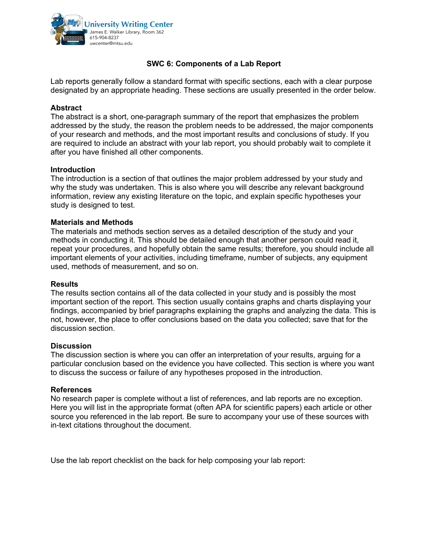

## **SWC 6: Components of a Lab Report**

Lab reports generally follow a standard format with specific sections, each with a clear purpose designated by an appropriate heading. These sections are usually presented in the order below.

### **Abstract**

The abstract is a short, one-paragraph summary of the report that emphasizes the problem addressed by the study, the reason the problem needs to be addressed, the major components of your research and methods, and the most important results and conclusions of study. If you are required to include an abstract with your lab report, you should probably wait to complete it after you have finished all other components.

### **Introduction**

The introduction is a section of that outlines the major problem addressed by your study and why the study was undertaken. This is also where you will describe any relevant background information, review any existing literature on the topic, and explain specific hypotheses your study is designed to test.

### **Materials and Methods**

The materials and methods section serves as a detailed description of the study and your methods in conducting it. This should be detailed enough that another person could read it, repeat your procedures, and hopefully obtain the same results; therefore, you should include all important elements of your activities, including timeframe, number of subjects, any equipment used, methods of measurement, and so on.

### **Results**

The results section contains all of the data collected in your study and is possibly the most important section of the report. This section usually contains graphs and charts displaying your findings, accompanied by brief paragraphs explaining the graphs and analyzing the data. This is not, however, the place to offer conclusions based on the data you collected; save that for the discussion section.

### **Discussion**

The discussion section is where you can offer an interpretation of your results, arguing for a particular conclusion based on the evidence you have collected. This section is where you want to discuss the success or failure of any hypotheses proposed in the introduction.

### **References**

No research paper is complete without a list of references, and lab reports are no exception. Here you will list in the appropriate format (often APA for scientific papers) each article or other source you referenced in the lab report. Be sure to accompany your use of these sources with in-text citations throughout the document.

Use the lab report checklist on the back for help composing your lab report: